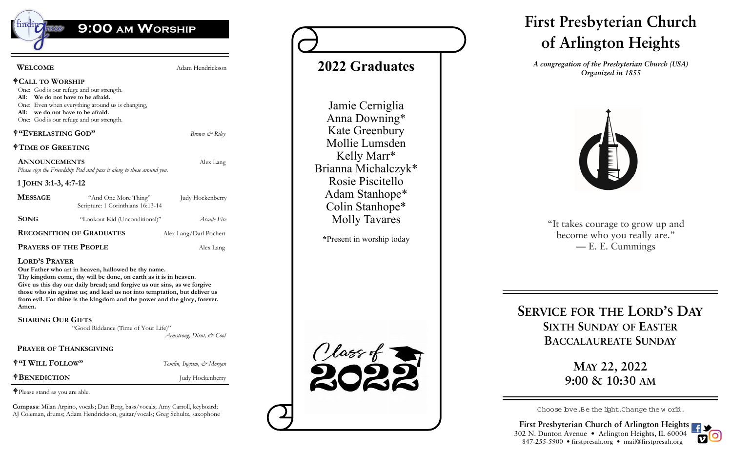

## 9:00 AM WORSHIP

**WELCOME** Adam Hendrickson

## **CALL TO WORSHIP**

 One: God is our refuge and our strength. **All: We do not have to be afraid.**  One: Even when everything around us is changing,

 **All: we do not have to be afraid.**  One: God is our refuge and our strength.

## **"EVERLASTING GOD"** *Brown & Riley*

## **TIME OF GREETING**

**ANNOUNCEMENTS** Alex Lang

*Please sign the Friendship Pad and pass it along to those around you.*

 **1 JOHN 3:1-3, 4:7-12**

| <b>MESSAGE</b> | "And One More Thing"<br>Scripture: 1 Corinthians 16:13-14 | Judy Hockenberry       |
|----------------|-----------------------------------------------------------|------------------------|
| <b>SONG</b>    | "Lookout Kid (Unconditional)"                             | Arcade Fire            |
|                | <b>RECOGNITION OF GRADUATES</b>                           | Alex Lang/Darl Pochert |

 **PRAYERS OF THE PEOPLE**

Alex Lang

## **LORD'S PRAYER**

 **Our Father who art in heaven, hallowed be thy name. Thy kingdom come, thy will be done, on earth as it is in heaven. Give us this day our daily bread; and forgive us our sins, as we forgive those who sin against us; and lead us not into temptation, but deliver us from evil. For thine is the kingdom and the power and the glory, forever. Amen.** 

## **SHARING OUR GIFTS**

"Good Riddance (Time of Your Life)"

*Armstrong, Dirnt, & Cool* 

## **PRAYER OF THANKSGIVING**

**"I WILL FOLLOW"** *Tomlin, Ingram, & Morgan*

## $\oint$ **BENEDICTION** Judy Hockenberry

Please stand as you are able.

**Compass**: Milan Arpino, vocals; Dan Berg, bass/vocals; Amy Carroll, keyboard; AJ Coleman, drums; Adam Hendrickson, guitar/vocals; Greg Schultz, saxophone *A congregation of the Presbyterian Church (USA) Organized in 1855* 



## **SERVICE FOR THE LORD'S DAY SIXTH SUNDAY OF EASTER BACCALAUREATE SUNDAY**

## **MAY 22, 2022 9:00 & 10:30 AM**

Choose bve.Be the light.Change the w orld.



# **First Presbyterian Church of Arlington Heights**

"It takes courage to grow up and become who you really are." — E. E. Cummings

**First Presbyterian Church of Arlington Heights**  302 N. Dunton Avenue • Arlington Heights, IL 60004 847-255-5900 • firstpresah.org • mail@firstpresah.org

# **2022 Graduates**

Jamie Cerniglia Anna Downing\* Kate Greenbury Mollie Lumsden Kelly Marr\* Brianna Michalczyk\* Rosie Piscitello Adam Stanhope\* Colin Stanhope\* Molly Tavares

**\***Present in worship today